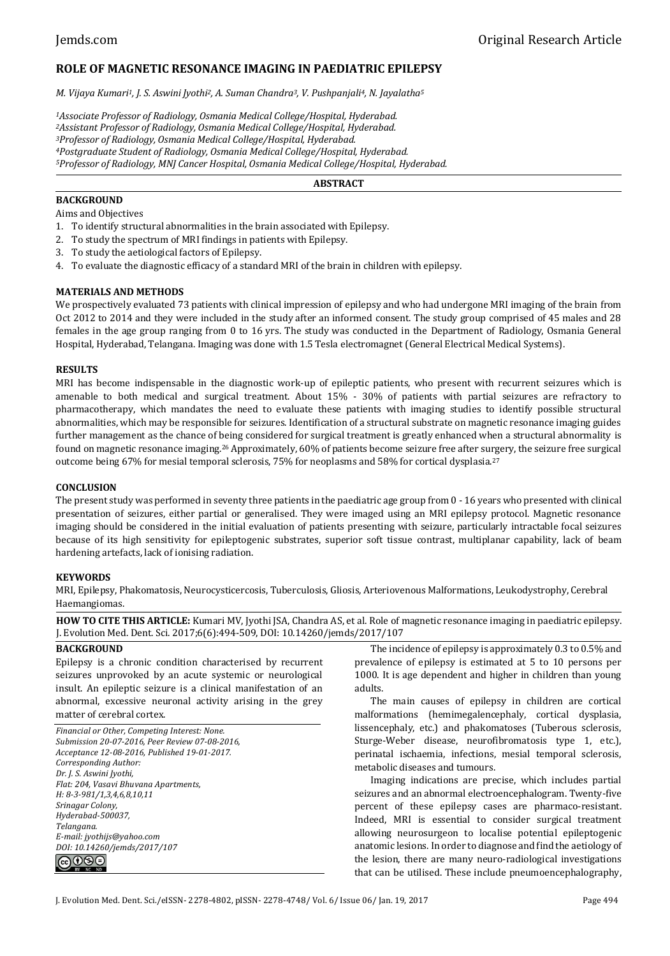# **ROLE OF MAGNETIC RESONANCE IMAGING IN PAEDIATRIC EPILEPSY**

*M. Vijaya Kumari1, J. S. Aswini Jyothi2, A. Suman Chandra3, V. Pushpanjali4, N. Jayalatha<sup>5</sup>*

*Associate Professor of Radiology, Osmania Medical College/Hospital, Hyderabad. Assistant Professor of Radiology, Osmania Medical College/Hospital, Hyderabad. Professor of Radiology, Osmania Medical College/Hospital, Hyderabad. Postgraduate Student of Radiology, Osmania Medical College/Hospital, Hyderabad. Professor of Radiology, MNJ Cancer Hospital, Osmania Medical College/Hospital, Hyderabad.*

#### **ABSTRACT**

### **BACKGROUND**

Aims and Objectives

- 1. To identify structural abnormalities in the brain associated with Epilepsy.
- 2. To study the spectrum of MRI findings in patients with Epilepsy.
- 3. To study the aetiological factors of Epilepsy.
- 4. To evaluate the diagnostic efficacy of a standard MRI of the brain in children with epilepsy.

#### **MATERIALS AND METHODS**

We prospectively evaluated 73 patients with clinical impression of epilepsy and who had undergone MRI imaging of the brain from Oct 2012 to 2014 and they were included in the study after an informed consent. The study group comprised of 45 males and 28 females in the age group ranging from 0 to 16 yrs. The study was conducted in the Department of Radiology, Osmania General Hospital, Hyderabad, Telangana. Imaging was done with 1.5 Tesla electromagnet (General Electrical Medical Systems).

#### **RESULTS**

MRI has become indispensable in the diagnostic work-up of epileptic patients, who present with recurrent seizures which is amenable to both medical and surgical treatment. About 15% - 30% of patients with partial seizures are refractory to pharmacotherapy, which mandates the need to evaluate these patients with imaging studies to identify possible structural abnormalities, which may be responsible for seizures. Identification of a structural substrate on magnetic resonance imaging guides further management as the chance of being considered for surgical treatment is greatly enhanced when a structural abnormality is found on magnetic resonance imaging.26 Approximately, 60% of patients become seizure free after surgery, the seizure free surgical outcome being 67% for mesial temporal sclerosis, 75% for neoplasms and 58% for cortical dysplasia.<sup>27</sup>

#### **CONCLUSION**

The present study was performed in seventy three patients in the paediatric age group from 0 - 16 years who presented with clinical presentation of seizures, either partial or generalised. They were imaged using an MRI epilepsy protocol. Magnetic resonance imaging should be considered in the initial evaluation of patients presenting with seizure, particularly intractable focal seizures because of its high sensitivity for epileptogenic substrates, superior soft tissue contrast, multiplanar capability, lack of beam hardening artefacts, lack of ionising radiation.

#### **KEYWORDS**

MRI, Epilepsy, Phakomatosis, Neurocysticercosis, Tuberculosis, Gliosis, Arteriovenous Malformations, Leukodystrophy, Cerebral Haemangiomas.

**HOW TO CITE THIS ARTICLE:** Kumari MV, Jyothi JSA, Chandra AS, et al. Role of magnetic resonance imaging in paediatric epilepsy. J. Evolution Med. Dent. Sci. 2017;6(6):494-509, DOI: 10.14260/jemds/2017/107

#### **BACKGROUND**

Epilepsy is a chronic condition characterised by recurrent seizures unprovoked by an acute systemic or neurological insult. An epileptic seizure is a clinical manifestation of an abnormal, excessive neuronal activity arising in the grey matter of cerebral cortex.

*Financial or Other, Competing Interest: None. Submission 20-07-2016, Peer Review 07-08-2016, Acceptance 12-08-2016, Published 19-01-2017. Corresponding Author: Dr. J. S. Aswini Jyothi, Flat: 204, Vasavi Bhuvana Apartments, H: 8-3-981/1,3,4,6,8,10,11 Srinagar Colony, Hyderabad-500037, Telangana. E-mail: jyothijs@yahoo.com DOI: 10.14260/jemds/2017/107*



The incidence of epilepsy is approximately 0.3 to 0.5% and prevalence of epilepsy is estimated at 5 to 10 persons per 1000. It is age dependent and higher in children than young adults.

The main causes of epilepsy in children are cortical malformations (hemimegalencephaly, cortical dysplasia, lissencephaly, etc.) and phakomatoses (Tuberous sclerosis, Sturge-Weber disease, neurofibromatosis type 1, etc.), perinatal ischaemia, infections, mesial temporal sclerosis, metabolic diseases and tumours.

Imaging indications are precise, which includes partial seizures and an abnormal electroencephalogram. Twenty-five percent of these epilepsy cases are pharmaco-resistant. Indeed, MRI is essential to consider surgical treatment allowing neurosurgeon to localise potential epileptogenic anatomic lesions. In order to diagnose and find the aetiology of the lesion, there are many neuro-radiological investigations that can be utilised. These include pneumoencephalography,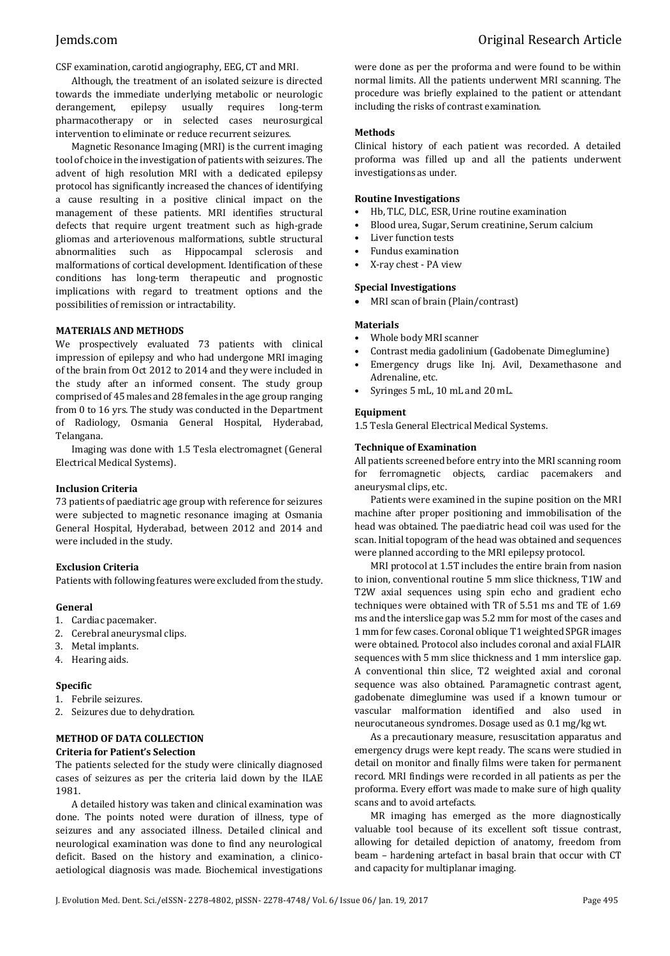CSF examination, carotid angiography, EEG, CT and MRI*.*

Although, the treatment of an isolated seizure is directed towards the immediate underlying metabolic or neurologic derangement, epilepsy usually requires long-term pharmacotherapy or in selected cases neurosurgical intervention to eliminate or reduce recurrent seizures.

Magnetic Resonance Imaging (MRI) is the current imaging tool of choice in the investigation of patients with seizures. The advent of high resolution MRI with a dedicated epilepsy protocol has significantly increased the chances of identifying a cause resulting in a positive clinical impact on the management of these patients. MRI identifies structural defects that require urgent treatment such as high-grade gliomas and arteriovenous malformations, subtle structural abnormalities such as Hippocampal sclerosis and malformations of cortical development. Identification of these conditions has long-term therapeutic and prognostic implications with regard to treatment options and the possibilities of remission or intractability.

#### **MATERIALS AND METHODS**

We prospectively evaluated 73 patients with clinical impression of epilepsy and who had undergone MRI imaging of the brain from Oct 2012 to 2014 and they were included in the study after an informed consent. The study group comprised of 45 males and 28 females in the age group ranging from 0 to 16 yrs. The study was conducted in the Department of Radiology, Osmania General Hospital, Hyderabad, Telangana.

Imaging was done with 1.5 Tesla electromagnet (General Electrical Medical Systems).

#### **Inclusion Criteria**

73 patients of paediatric age group with reference for seizures were subjected to magnetic resonance imaging at Osmania General Hospital, Hyderabad, between 2012 and 2014 and were included in the study.

### **Exclusion Criteria**

Patients with following features were excluded from the study.

### **General**

- 1. Cardiac pacemaker.
- 2. Cerebral aneurysmal clips.
- 3. Metal implants.
- 4. Hearing aids.

### **Specific**

- 1. Febrile seizures.
- 2. Seizures due to dehydration.

### **METHOD OF DATA COLLECTION**

#### **Criteria for Patient's Selection**

The patients selected for the study were clinically diagnosed cases of seizures as per the criteria laid down by the ILAE 1981.

A detailed history was taken and clinical examination was done. The points noted were duration of illness, type of seizures and any associated illness. Detailed clinical and neurological examination was done to find any neurological deficit. Based on the history and examination, a clinicoaetiological diagnosis was made. Biochemical investigations were done as per the proforma and were found to be within normal limits. All the patients underwent MRI scanning. The procedure was briefly explained to the patient or attendant including the risks of contrast examination.

#### **Methods**

Clinical history of each patient was recorded. A detailed proforma was filled up and all the patients underwent investigations as under.

#### **Routine Investigations**

- Hb, TLC, DLC, ESR, Urine routine examination
- Blood urea, Sugar, Serum creatinine, Serum calcium
- Liver function tests
- Fundus examination
- X-ray chest PA view

#### **Special Investigations**

MRI scan of brain (Plain/contrast)

#### **Materials**

- Whole body MRI scanner
- Contrast media gadolinium (Gadobenate Dimeglumine)
- Emergency drugs like Inj. Avil, Dexamethasone and Adrenaline, etc.
- Syringes 5 mL, 10 mL and 20 mL.

#### **Equipment**

1.5 Tesla General Electrical Medical Systems.

#### **Technique of Examination**

All patients screened before entry into the MRI scanning room for ferromagnetic objects, cardiac pacemakers and aneurysmal clips, etc.

Patients were examined in the supine position on the MRI machine after proper positioning and immobilisation of the head was obtained. The paediatric head coil was used for the scan. Initial topogram of the head was obtained and sequences were planned according to the MRI epilepsy protocol.

MRI protocol at 1.5T includes the entire brain from nasion to inion, conventional routine 5 mm slice thickness, T1W and T2W axial sequences using spin echo and gradient echo techniques were obtained with TR of 5.51 ms and TE of 1.69 ms and the interslice gap was 5.2 mm for most of the cases and 1 mm for few cases. Coronal oblique T1 weighted SPGR images were obtained. Protocol also includes coronal and axial FLAIR sequences with 5 mm slice thickness and 1 mm interslice gap. A conventional thin slice, T2 weighted axial and coronal sequence was also obtained. Paramagnetic contrast agent, gadobenate dimeglumine was used if a known tumour or vascular malformation identified and also used in neurocutaneous syndromes. Dosage used as 0.1 mg/kg wt.

As a precautionary measure, resuscitation apparatus and emergency drugs were kept ready. The scans were studied in detail on monitor and finally films were taken for permanent record. MRI findings were recorded in all patients as per the proforma. Every effort was made to make sure of high quality scans and to avoid artefacts.

MR imaging has emerged as the more diagnostically valuable tool because of its excellent soft tissue contrast, allowing for detailed depiction of anatomy, freedom from beam – hardening artefact in basal brain that occur with CT and capacity for multiplanar imaging.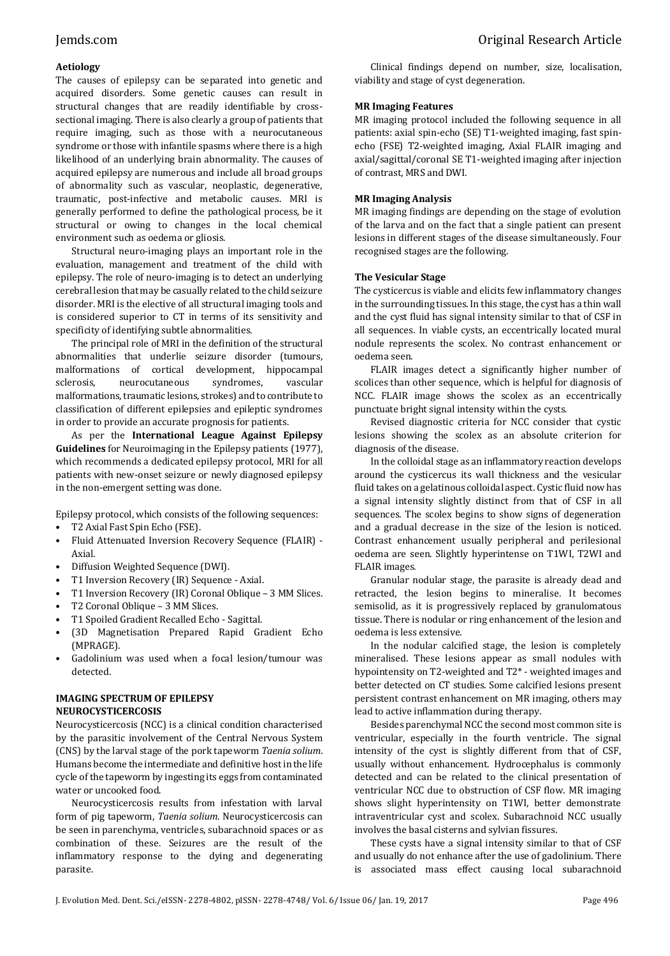### **Aetiology**

The causes of epilepsy can be separated into genetic and acquired disorders. Some genetic causes can result in structural changes that are readily identifiable by crosssectional imaging. There is also clearly a group of patients that require imaging, such as those with a neurocutaneous syndrome or those with infantile spasms where there is a high likelihood of an underlying brain abnormality. The causes of acquired epilepsy are numerous and include all broad groups of abnormality such as vascular, neoplastic, degenerative, traumatic, post-infective and metabolic causes. MRI is generally performed to define the pathological process, be it structural or owing to changes in the local chemical environment such as oedema or gliosis.

Structural neuro-imaging plays an important role in the evaluation, management and treatment of the child with epilepsy. The role of neuro-imaging is to detect an underlying cerebral lesion that may be casually related to the child seizure disorder. MRI is the elective of all structural imaging tools and is considered superior to CT in terms of its sensitivity and specificity of identifying subtle abnormalities.

The principal role of MRI in the definition of the structural abnormalities that underlie seizure disorder (tumours, malformations of cortical development, hippocampal sclerosis, neurocutaneous syndromes, vascular malformations, traumatic lesions, strokes) and to contribute to classification of different epilepsies and epileptic syndromes in order to provide an accurate prognosis for patients.

As per the **International League Against Epilepsy Guidelines** for Neuroimaging in the Epilepsy patients (1977), which recommends a dedicated epilepsy protocol, MRI for all patients with new-onset seizure or newly diagnosed epilepsy in the non-emergent setting was done.

Epilepsy protocol, which consists of the following sequences:

- T2 Axial Fast Spin Echo (FSE).
- Fluid Attenuated Inversion Recovery Sequence (FLAIR) Axial.
- Diffusion Weighted Sequence (DWI).
- T1 Inversion Recovery (IR) Sequence Axial.
- T1 Inversion Recovery (IR) Coronal Oblique 3 MM Slices.
- T2 Coronal Oblique 3 MM Slices.
- T1 Spoiled Gradient Recalled Echo Sagittal.
- (3D Magnetisation Prepared Rapid Gradient Echo (MPRAGE).
- Gadolinium was used when a focal lesion/tumour was detected.

### **IMAGING SPECTRUM OF EPILEPSY NEUROCYSTICERCOSIS**

Neurocysticercosis (NCC) is a clinical condition characterised by the parasitic involvement of the Central Nervous System (CNS) by the larval stage of the pork tapeworm *Taenia solium*. Humans become the intermediate and definitive host in the life cycle of the tapeworm by ingesting its eggs from contaminated water or uncooked food.

Neurocysticercosis results from infestation with larval form of pig tapeworm, *Taenia solium*. Neurocysticercosis can be seen in parenchyma, ventricles, subarachnoid spaces or as combination of these. Seizures are the result of the inflammatory response to the dying and degenerating parasite.

Clinical findings depend on number, size, localisation, viability and stage of cyst degeneration.

#### **MR Imaging Features**

MR imaging protocol included the following sequence in all patients: axial spin-echo (SE) T1-weighted imaging, fast spinecho (FSE) T2-weighted imaging, Axial FLAIR imaging and axial/sagittal/coronal SE T1-weighted imaging after injection of contrast, MRS and DWI.

#### **MR Imaging Analysis**

MR imaging findings are depending on the stage of evolution of the larva and on the fact that a single patient can present lesions in different stages of the disease simultaneously. Four recognised stages are the following.

#### **The Vesicular Stage**

The cysticercus is viable and elicits few inflammatory changes in the surrounding tissues. In this stage, the cyst has a thin wall and the cyst fluid has signal intensity similar to that of CSF in all sequences. In viable cysts, an eccentrically located mural nodule represents the scolex. No contrast enhancement or oedema seen.

FLAIR images detect a significantly higher number of scolices than other sequence, which is helpful for diagnosis of NCC. FLAIR image shows the scolex as an eccentrically punctuate bright signal intensity within the cysts.

Revised diagnostic criteria for NCC consider that cystic lesions showing the scolex as an absolute criterion for diagnosis of the disease.

In the colloidal stage as an inflammatory reaction develops around the cysticercus its wall thickness and the vesicular fluid takes on a gelatinous colloidal aspect. Cystic fluid now has a signal intensity slightly distinct from that of CSF in all sequences. The scolex begins to show signs of degeneration and a gradual decrease in the size of the lesion is noticed. Contrast enhancement usually peripheral and perilesional oedema are seen. Slightly hyperintense on T1WI, T2WI and FLAIR images.

Granular nodular stage, the parasite is already dead and retracted, the lesion begins to mineralise. It becomes semisolid, as it is progressively replaced by granulomatous tissue. There is nodular or ring enhancement of the lesion and oedema is less extensive.

In the nodular calcified stage, the lesion is completely mineralised. These lesions appear as small nodules with hypointensity on T2-weighted and T2\* - weighted images and better detected on CT studies. Some calcified lesions present persistent contrast enhancement on MR imaging, others may lead to active inflammation during therapy.

Besides parenchymal NCC the second most common site is ventricular, especially in the fourth ventricle. The signal intensity of the cyst is slightly different from that of CSF, usually without enhancement. Hydrocephalus is commonly detected and can be related to the clinical presentation of ventricular NCC due to obstruction of CSF flow. MR imaging shows slight hyperintensity on T1WI, better demonstrate intraventricular cyst and scolex. Subarachnoid NCC usually involves the basal cisterns and sylvian fissures.

These cysts have a signal intensity similar to that of CSF and usually do not enhance after the use of gadolinium. There is associated mass effect causing local subarachnoid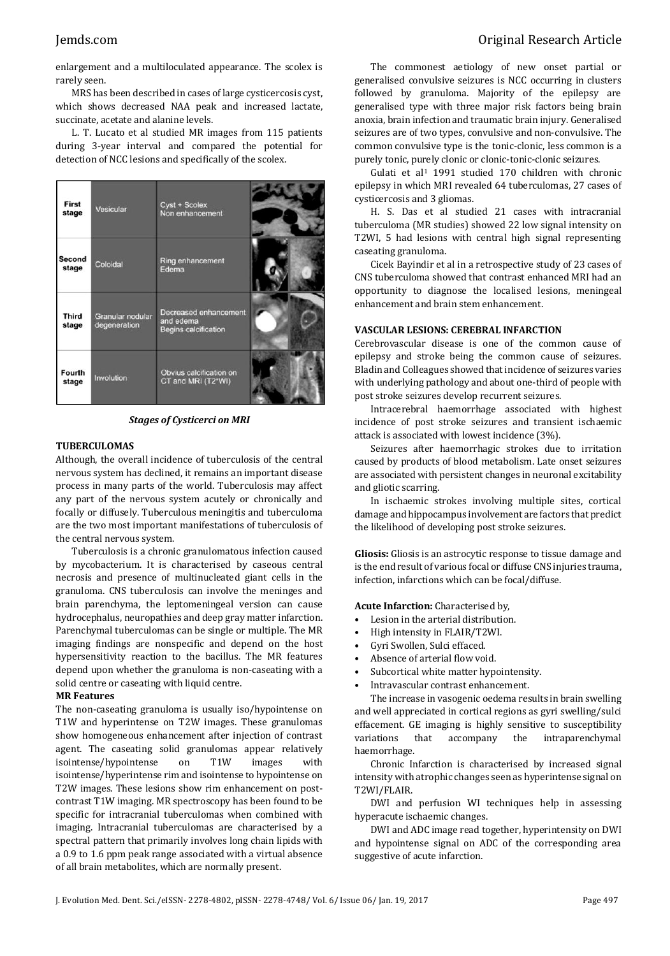## Jemds.com Original Research Article

enlargement and a multiloculated appearance. The scolex is rarely seen.

MRS has been described in cases of large cysticercosis cyst, which shows decreased NAA peak and increased lactate, succinate, acetate and alanine levels.

L. T. Lucato et al studied MR images from 115 patients during 3-year interval and compared the potential for detection of NCC lesions and specifically of the scolex.

| First<br>stage        | Vesicular                        | Cyst + Scolex<br>Non enhancement                                  |  |
|-----------------------|----------------------------------|-------------------------------------------------------------------|--|
| Second<br>stage       | Coloidal                         | Ring enhancement<br>Edema                                         |  |
| <b>Third</b><br>stage | Granular nodular<br>degeneration | Decreased enhancement<br>and edema<br><b>Begins calcification</b> |  |
| Fourth<br>stage       | Involution                       | Obvius calcification on<br>CT and MRI (T2*WI)                     |  |

*Stages of Cysticerci on MRI*

#### **TUBERCULOMAS**

Although, the overall incidence of tuberculosis of the central nervous system has declined, it remains an important disease process in many parts of the world. Tuberculosis may affect any part of the nervous system acutely or chronically and focally or diffusely. Tuberculous meningitis and tuberculoma are the two most important manifestations of tuberculosis of the central nervous system.

Tuberculosis is a chronic granulomatous infection caused by mycobacterium. It is characterised by caseous central necrosis and presence of multinucleated giant cells in the granuloma. CNS tuberculosis can involve the meninges and brain parenchyma, the leptomeningeal version can cause hydrocephalus, neuropathies and deep gray matter infarction. Parenchymal tuberculomas can be single or multiple. The MR imaging findings are nonspecific and depend on the host hypersensitivity reaction to the bacillus. The MR features depend upon whether the granuloma is non-caseating with a solid centre or caseating with liquid centre.

#### **MR Features**

The non-caseating granuloma is usually iso/hypointense on T1W and hyperintense on T2W images. These granulomas show homogeneous enhancement after injection of contrast agent. The caseating solid granulomas appear relatively isointense/hypointense on T1W images with isointense/hyperintense rim and isointense to hypointense on T2W images. These lesions show rim enhancement on postcontrast T1W imaging. MR spectroscopy has been found to be specific for intracranial tuberculomas when combined with imaging. Intracranial tuberculomas are characterised by a spectral pattern that primarily involves long chain lipids with a 0.9 to 1.6 ppm peak range associated with a virtual absence of all brain metabolites, which are normally present.

The commonest aetiology of new onset partial or generalised convulsive seizures is NCC occurring in clusters followed by granuloma. Majority of the epilepsy are generalised type with three major risk factors being brain anoxia, brain infection and traumatic brain injury. Generalised seizures are of two types, convulsive and non-convulsive. The common convulsive type is the tonic-clonic, less common is a purely tonic, purely clonic or clonic-tonic-clonic seizures.

Gulati et al<sup>1</sup> 1991 studied 170 children with chronic epilepsy in which MRI revealed 64 tuberculomas, 27 cases of cysticercosis and 3 gliomas.

H. S. Das et al studied 21 cases with intracranial tuberculoma (MR studies) showed 22 low signal intensity on T2WI, 5 had lesions with central high signal representing caseating granuloma.

Cicek Bayindir et al in a retrospective study of 23 cases of CNS tuberculoma showed that contrast enhanced MRI had an opportunity to diagnose the localised lesions, meningeal enhancement and brain stem enhancement.

#### **VASCULAR LESIONS: CEREBRAL INFARCTION**

Cerebrovascular disease is one of the common cause of epilepsy and stroke being the common cause of seizures. Bladin and Colleagues showed that incidence of seizures varies with underlying pathology and about one-third of people with post stroke seizures develop recurrent seizures.

Intracerebral haemorrhage associated with highest incidence of post stroke seizures and transient ischaemic attack is associated with lowest incidence (3%).

Seizures after haemorrhagic strokes due to irritation caused by products of blood metabolism. Late onset seizures are associated with persistent changes in neuronal excitability and gliotic scarring.

In ischaemic strokes involving multiple sites, cortical damage and hippocampus involvement are factors that predict the likelihood of developing post stroke seizures.

**Gliosis:** Gliosis is an astrocytic response to tissue damage and is the end result of various focal or diffuse CNS injuries trauma, infection, infarctions which can be focal/diffuse.

#### **Acute Infarction:** Characterised by,

- Lesion in the arterial distribution.
- High intensity in FLAIR/T2WI.
- Gyri Swollen, Sulci effaced.
- Absence of arterial flow void.
- Subcortical white matter hypointensity.
- Intravascular contrast enhancement.

The increase in vasogenic oedema results in brain swelling and well appreciated in cortical regions as gyri swelling/sulci effacement. GE imaging is highly sensitive to susceptibility variations that accompany the intraparenchymal haemorrhage.

Chronic Infarction is characterised by increased signal intensity with atrophic changes seen as hyperintense signal on T2WI/FLAIR.

DWI and perfusion WI techniques help in assessing hyperacute ischaemic changes.

DWI and ADC image read together, hyperintensity on DWI and hypointense signal on ADC of the corresponding area suggestive of acute infarction.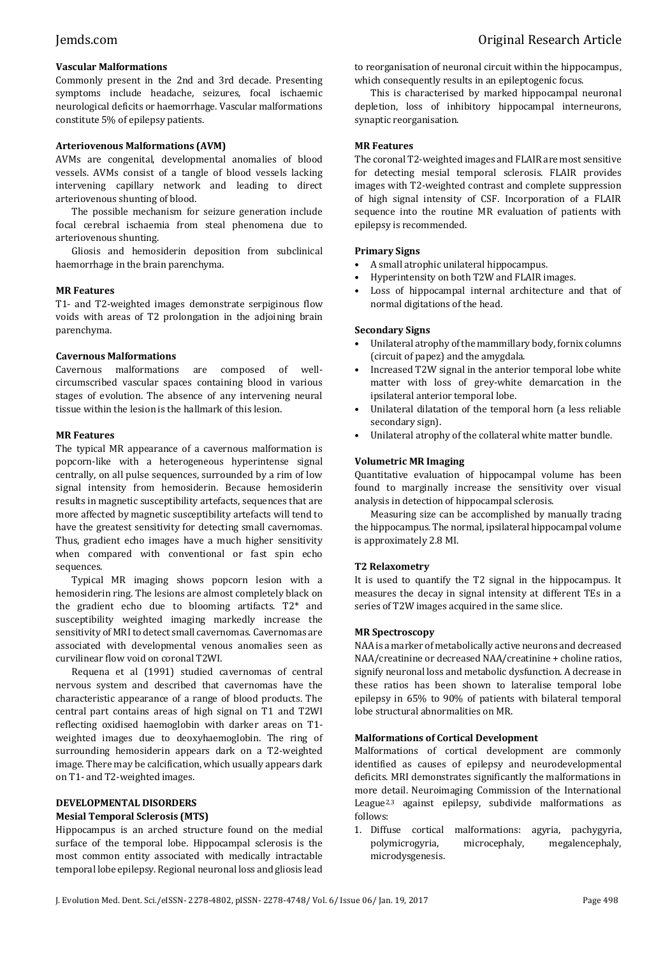### **Vascular Malformations**

Commonly present in the 2nd and 3rd decade. Presenting symptoms include headache, seizures, focal ischaemic neurological deficits or haemorrhage. Vascular malformations constitute 5% of epilepsy patients.

#### **Arteriovenous Malformations (AVM)**

AVMs are congenital, developmental anomalies of blood vessels. AVMs consist of a tangle of blood vessels lacking intervening capillary network and leading to direct arteriovenous shunting of blood.

The possible mechanism for seizure generation include focal cerebral ischaemia from steal phenomena due to arteriovenous shunting.

Gliosis and hemosiderin deposition from subclinical haemorrhage in the brain parenchyma.

#### **MR Features**

T1- and T2-weighted images demonstrate serpiginous flow voids with areas of T2 prolongation in the adjoining brain parenchyma.

#### **Cavernous Malformations**

Cavernous malformations are composed of wellcircumscribed vascular spaces containing blood in various stages of evolution. The absence of any intervening neural tissue within the lesion is the hallmark of this lesion.

#### **MR Features**

The typical MR appearance of a cavernous malformation is popcorn-like with a heterogeneous hyperintense signal centrally, on all pulse sequences, surrounded by a rim of low signal intensity from hemosiderin. Because hemosiderin results in magnetic susceptibility artefacts, sequences that are more affected by magnetic susceptibility artefacts will tend to have the greatest sensitivity for detecting small cavernomas. Thus, gradient echo images have a much higher sensitivity when compared with conventional or fast spin echo sequences.

Typical MR imaging shows popcorn lesion with a hemosiderin ring. The lesions are almost completely black on the gradient echo due to blooming artifacts. T2\* and susceptibility weighted imaging markedly increase the sensitivity of MRI to detect small cavernomas. Cavernomas are associated with developmental venous anomalies seen as curvilinear flow void on coronal T2WI.

Requena et al (1991) studied cavernomas of central nervous system and described that cavernomas have the characteristic appearance of a range of blood products. The central part contains areas of high signal on T1 and T2WI reflecting oxidised haemoglobin with darker areas on T1 weighted images due to deoxyhaemoglobin. The ring of surrounding hemosiderin appears dark on a T2-weighted image. There may be calcification, which usually appears dark on T1- and T2-weighted images.

# **DEVELOPMENTAL DISORDERS**

#### **Mesial Temporal Sclerosis (MTS)**

Hippocampus is an arched structure found on the medial surface of the temporal lobe. Hippocampal sclerosis is the most common entity associated with medically intractable temporal lobe epilepsy. Regional neuronal loss and gliosis lead to reorganisation of neuronal circuit within the hippocampus, which consequently results in an epileptogenic focus.

This is characterised by marked hippocampal neuronal depletion, loss of inhibitory hippocampal interneurons, synaptic reorganisation.

#### **MR Features**

The coronal T2-weighted images and FLAIR are most sensitive for detecting mesial temporal sclerosis. FLAIR provides images with T2-weighted contrast and complete suppression of high signal intensity of CSF. Incorporation of a FLAIR sequence into the routine MR evaluation of patients with epilepsy is recommended.

#### **Primary Signs**

- A small atrophic unilateral hippocampus.
- Hyperintensity on both T2W and FLAIR images.
- Loss of hippocampal internal architecture and that of normal digitations of the head.

#### **Secondary Signs**

- Unilateral atrophy of the mammillary body, fornix columns (circuit of papez) and the amygdala.
- Increased T2W signal in the anterior temporal lobe white matter with loss of grey-white demarcation in the ipsilateral anterior temporal lobe.
- Unilateral dilatation of the temporal horn (a less reliable secondary sign).
- Unilateral atrophy of the collateral white matter bundle.

### **Volumetric MR Imaging**

Quantitative evaluation of hippocampal volume has been found to marginally increase the sensitivity over visual analysis in detection of hippocampal sclerosis.

Measuring size can be accomplished by manually tracing the hippocampus. The normal, ipsilateral hippocampal volume is approximately 2.8 MI.

### **T2 Relaxometry**

It is used to quantify the T2 signal in the hippocampus. It measures the decay in signal intensity at different TEs in a series of T2W images acquired in the same slice.

#### **MR Spectroscopy**

NAA is a marker of metabolically active neurons and decreased NAA/creatinine or decreased NAA/creatinine + choline ratios, signify neuronal loss and metabolic dysfunction. A decrease in these ratios has been shown to lateralise temporal lobe epilepsy in 65% to 90% of patients with bilateral temporal lobe structural abnormalities on MR.

#### **Malformations of Cortical Development**

Malformations of cortical development are commonly identified as causes of epilepsy and neurodevelopmental deficits. MRI demonstrates significantly the malformations in more detail. Neuroimaging Commission of the International League2,3 against epilepsy, subdivide malformations as follows:

1. Diffuse cortical malformations: agyria, pachygyria, polymicrogyria, microcephaly, megalencephaly, microdysgenesis.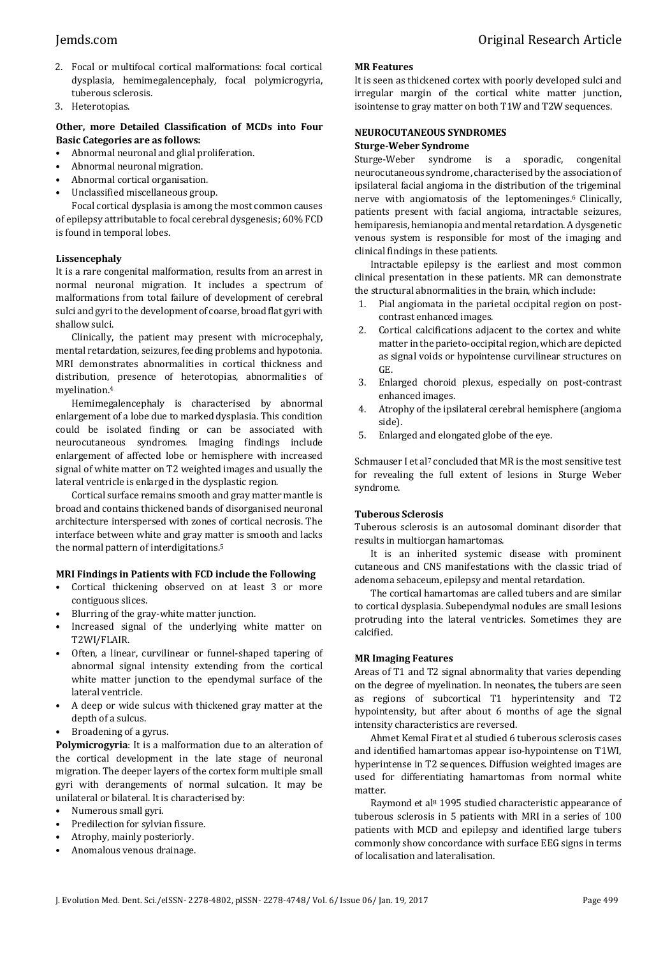- 2. Focal or multifocal cortical malformations: focal cortical dysplasia, hemimegalencephaly, focal polymicrogyria, tuberous sclerosis.
- 3. Heterotopias.

#### **Other, more Detailed Classification of MCDs into Four Basic Categories are as follows:**

- Abnormal neuronal and glial proliferation.
- Abnormal neuronal migration.
- Abnormal cortical organisation.
- Unclassified miscellaneous group.

Focal cortical dysplasia is among the most common causes of epilepsy attributable to focal cerebral dysgenesis; 60% FCD is found in temporal lobes.

### **Lissencephaly**

It is a rare congenital malformation, results from an arrest in normal neuronal migration. It includes a spectrum of malformations from total failure of development of cerebral sulci and gyri to the development of coarse, broad flat gyri with shallow sulci.

Clinically, the patient may present with microcephaly, mental retardation, seizures, feeding problems and hypotonia. MRI demonstrates abnormalities in cortical thickness and distribution, presence of heterotopias, abnormalities of myelination.<sup>4</sup>

Hemimegalencephaly is characterised by abnormal enlargement of a lobe due to marked dysplasia. This condition could be isolated finding or can be associated with neurocutaneous syndromes. Imaging findings include enlargement of affected lobe or hemisphere with increased signal of white matter on T2 weighted images and usually the lateral ventricle is enlarged in the dysplastic region.

Cortical surface remains smooth and gray matter mantle is broad and contains thickened bands of disorganised neuronal architecture interspersed with zones of cortical necrosis. The interface between white and gray matter is smooth and lacks the normal pattern of interdigitations.<sup>5</sup>

### **MRI Findings in Patients with FCD include the Following**

- Cortical thickening observed on at least 3 or more contiguous slices.
- Blurring of the gray-white matter junction.
- Increased signal of the underlying white matter on T2WI/FLAIR.
- Often, a linear, curvilinear or funnel-shaped tapering of abnormal signal intensity extending from the cortical white matter junction to the ependymal surface of the lateral ventricle.
- A deep or wide sulcus with thickened gray matter at the depth of a sulcus.
- Broadening of a gyrus.

**Polymicrogyria**: It is a malformation due to an alteration of the cortical development in the late stage of neuronal migration. The deeper layers of the cortex form multiple small gyri with derangements of normal sulcation. It may be unilateral or bilateral. It is characterised by:

- Numerous small gyri.
- Predilection for sylvian fissure.
- Atrophy, mainly posteriorly.
- Anomalous venous drainage.

#### **MR Features**

It is seen as thickened cortex with poorly developed sulci and irregular margin of the cortical white matter junction, isointense to gray matter on both T1W and T2W sequences.

#### **NEUROCUTANEOUS SYNDROMES Sturge-Weber Syndrome**

Sturge-Weber syndrome is a sporadic, congenital neurocutaneous syndrome, characterised by the association of ipsilateral facial angioma in the distribution of the trigeminal nerve with angiomatosis of the leptomeninges.<sup>6</sup> Clinically, patients present with facial angioma, intractable seizures, hemiparesis, hemianopia and mental retardation. A dysgenetic venous system is responsible for most of the imaging and clinical findings in these patients.

Intractable epilepsy is the earliest and most common clinical presentation in these patients. MR can demonstrate the structural abnormalities in the brain, which include:

- 1. Pial angiomata in the parietal occipital region on postcontrast enhanced images.
- 2. Cortical calcifications adjacent to the cortex and white matter in the parieto-occipital region, which are depicted as signal voids or hypointense curvilinear structures on GE.
- 3. Enlarged choroid plexus, especially on post-contrast enhanced images.
- 4. Atrophy of the ipsilateral cerebral hemisphere (angioma side).
- 5. Enlarged and elongated globe of the eye.

Schmauser I et al<sup>7</sup> concluded that MR is the most sensitive test for revealing the full extent of lesions in Sturge Weber syndrome.

### **Tuberous Sclerosis**

Tuberous sclerosis is an autosomal dominant disorder that results in multiorgan hamartomas.

It is an inherited systemic disease with prominent cutaneous and CNS manifestations with the classic triad of adenoma sebaceum, epilepsy and mental retardation.

The cortical hamartomas are called tubers and are similar to cortical dysplasia. Subependymal nodules are small lesions protruding into the lateral ventricles. Sometimes they are calcified.

### **MR Imaging Features**

Areas of T1 and T2 signal abnormality that varies depending on the degree of myelination. In neonates, the tubers are seen as regions of subcortical T1 hyperintensity and T2 hypointensity, but after about 6 months of age the signal intensity characteristics are reversed.

Ahmet Kemal Firat et al studied 6 tuberous sclerosis cases and identified hamartomas appear iso-hypointense on T1WI, hyperintense in T2 sequences. Diffusion weighted images are used for differentiating hamartomas from normal white matter.

Raymond et al<sup>8</sup> 1995 studied characteristic appearance of tuberous sclerosis in 5 patients with MRI in a series of 100 patients with MCD and epilepsy and identified large tubers commonly show concordance with surface EEG signs in terms of localisation and lateralisation.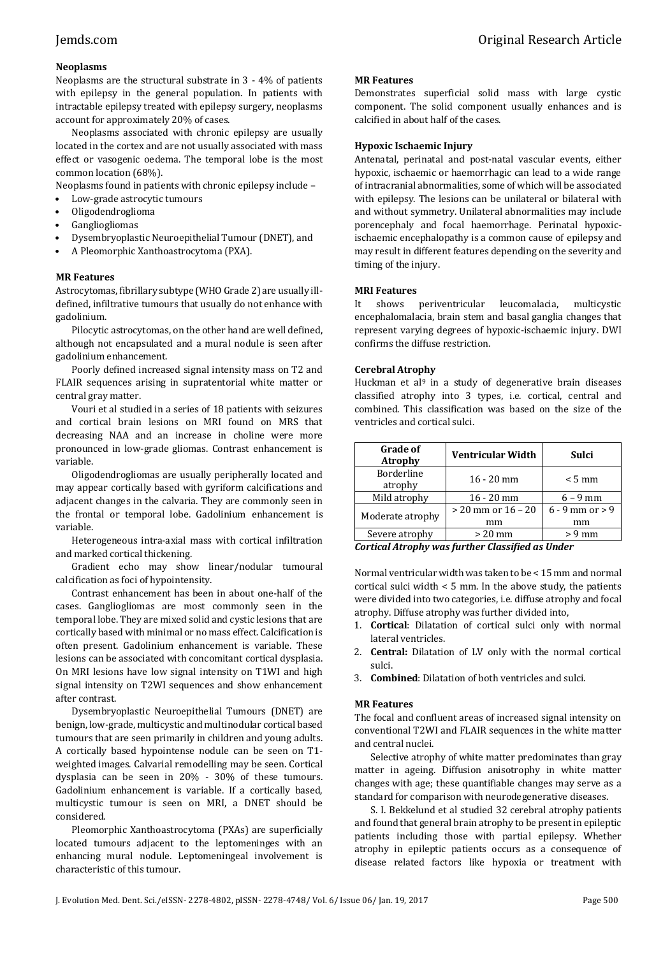### **Neoplasms**

Neoplasms are the structural substrate in 3 - 4% of patients with epilepsy in the general population. In patients with intractable epilepsy treated with epilepsy surgery, neoplasms account for approximately 20% of cases.

Neoplasms associated with chronic epilepsy are usually located in the cortex and are not usually associated with mass effect or vasogenic oedema. The temporal lobe is the most common location (68%).

Neoplasms found in patients with chronic epilepsy include –

- Low-grade astrocytic tumours
- Oligodendroglioma
- Gangliogliomas
- Dysembryoplastic Neuroepithelial Tumour (DNET), and
- A Pleomorphic Xanthoastrocytoma (PXA).

#### **MR Features**

Astrocytomas, fibrillary subtype (WHO Grade 2) are usually illdefined, infiltrative tumours that usually do not enhance with gadolinium.

Pilocytic astrocytomas, on the other hand are well defined, although not encapsulated and a mural nodule is seen after gadolinium enhancement.

Poorly defined increased signal intensity mass on T2 and FLAIR sequences arising in supratentorial white matter or central gray matter.

Vouri et al studied in a series of 18 patients with seizures and cortical brain lesions on MRI found on MRS that decreasing NAA and an increase in choline were more pronounced in low-grade gliomas. Contrast enhancement is variable.

Oligodendrogliomas are usually peripherally located and may appear cortically based with gyriform calcifications and adjacent changes in the calvaria. They are commonly seen in the frontal or temporal lobe. Gadolinium enhancement is variable.

Heterogeneous intra-axial mass with cortical infiltration and marked cortical thickening.

Gradient echo may show linear/nodular tumoural calcification as foci of hypointensity.

Contrast enhancement has been in about one-half of the cases. Gangliogliomas are most commonly seen in the temporal lobe. They are mixed solid and cystic lesions that are cortically based with minimal or no mass effect. Calcification is often present. Gadolinium enhancement is variable. These lesions can be associated with concomitant cortical dysplasia. On MRI lesions have low signal intensity on T1WI and high signal intensity on T2WI sequences and show enhancement after contrast.

Dysembryoplastic Neuroepithelial Tumours (DNET) are benign, low-grade, multicystic and multinodular cortical based tumours that are seen primarily in children and young adults. A cortically based hypointense nodule can be seen on T1 weighted images. Calvarial remodelling may be seen. Cortical dysplasia can be seen in 20% - 30% of these tumours. Gadolinium enhancement is variable. If a cortically based, multicystic tumour is seen on MRI, a DNET should be considered.

Pleomorphic Xanthoastrocytoma (PXAs) are superficially located tumours adjacent to the leptomeninges with an enhancing mural nodule. Leptomeningeal involvement is characteristic of this tumour.

#### **MR Features**

Demonstrates superficial solid mass with large cystic component. The solid component usually enhances and is calcified in about half of the cases.

#### **Hypoxic Ischaemic Injury**

Antenatal, perinatal and post-natal vascular events, either hypoxic, ischaemic or haemorrhagic can lead to a wide range of intracranial abnormalities, some of which will be associated with epilepsy. The lesions can be unilateral or bilateral with and without symmetry. Unilateral abnormalities may include porencephaly and focal haemorrhage. Perinatal hypoxicischaemic encephalopathy is a common cause of epilepsy and may result in different features depending on the severity and timing of the injury.

#### **MRI Features**

It shows periventricular leucomalacia, multicystic encephalomalacia, brain stem and basal ganglia changes that represent varying degrees of hypoxic-ischaemic injury. DWI confirms the diffuse restriction.

#### **Cerebral Atrophy**

Huckman et al<sup>9</sup> in a study of degenerative brain diseases classified atrophy into 3 types, i.e. cortical, central and combined. This classification was based on the size of the ventricles and cortical sulci.

| <b>Grade of</b><br><b>Atrophy</b> | <b>Ventricular Width</b>   | Sulci                     |
|-----------------------------------|----------------------------|---------------------------|
| Borderline<br>atrophy             | $16 - 20$ mm               | $< 5 \text{ mm}$          |
| Mild atrophy                      | $16 - 20$ mm               | $6 - 9$ mm                |
| Moderate atrophy                  | $>$ 20 mm or 16 – 20<br>mm | $6 - 9$ mm or $> 9$<br>mm |
| Severe atrophy                    | $> 20$ mm                  | $> 9$ mm                  |

*Cortical Atrophy was further Classified as Under*

Normal ventricular width was taken to be < 15 mm and normal cortical sulci width < 5 mm. In the above study, the patients were divided into two categories, i.e. diffuse atrophy and focal atrophy. Diffuse atrophy was further divided into,

- 1. **Cortical**: Dilatation of cortical sulci only with normal lateral ventricles.
- 2. **Central:** Dilatation of LV only with the normal cortical sulci.
- 3. **Combined**: Dilatation of both ventricles and sulci.

### **MR Features**

The focal and confluent areas of increased signal intensity on conventional T2WI and FLAIR sequences in the white matter and central nuclei.

Selective atrophy of white matter predominates than gray matter in ageing. Diffusion anisotrophy in white matter changes with age; these quantifiable changes may serve as a standard for comparison with neurodegenerative diseases.

S. I. Bekkelund et al studied 32 cerebral atrophy patients and found that general brain atrophy to be present in epileptic patients including those with partial epilepsy. Whether atrophy in epileptic patients occurs as a consequence of disease related factors like hypoxia or treatment with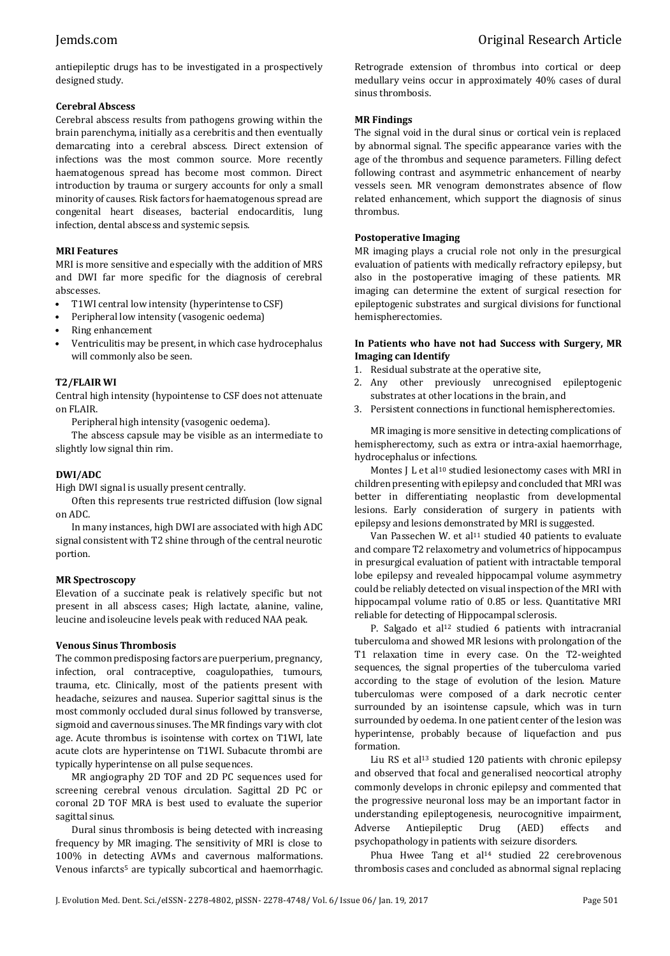antiepileptic drugs has to be investigated in a prospectively designed study.

### **Cerebral Abscess**

Cerebral abscess results from pathogens growing within the brain parenchyma, initially as a cerebritis and then eventually demarcating into a cerebral abscess. Direct extension of infections was the most common source. More recently haematogenous spread has become most common. Direct introduction by trauma or surgery accounts for only a small minority of causes. Risk factors for haematogenous spread are congenital heart diseases, bacterial endocarditis, lung infection, dental abscess and systemic sepsis.

### **MRI Features**

MRI is more sensitive and especially with the addition of MRS and DWI far more specific for the diagnosis of cerebral abscesses.

- T1WI central low intensity (hyperintense to CSF)
- Peripheral low intensity (vasogenic oedema)
- Ring enhancement
- Ventriculitis may be present, in which case hydrocephalus will commonly also be seen.

### **T2/FLAIR WI**

Central high intensity (hypointense to CSF does not attenuate on FLAIR.

Peripheral high intensity (vasogenic oedema).

The abscess capsule may be visible as an intermediate to slightly low signal thin rim.

### **DWI/ADC**

High DWI signal is usually present centrally.

Often this represents true restricted diffusion (low signal on ADC.

In many instances, high DWI are associated with high ADC signal consistent with T2 shine through of the central neurotic portion.

### **MR Spectroscopy**

Elevation of a succinate peak is relatively specific but not present in all abscess cases; High lactate, alanine, valine, leucine and isoleucine levels peak with reduced NAA peak.

### **Venous Sinus Thrombosis**

The common predisposing factors are puerperium, pregnancy, infection, oral contraceptive, coagulopathies, tumours, trauma, etc. Clinically, most of the patients present with headache, seizures and nausea. Superior sagittal sinus is the most commonly occluded dural sinus followed by transverse, sigmoid and cavernous sinuses. The MR findings vary with clot age. Acute thrombus is isointense with cortex on T1WI, late acute clots are hyperintense on T1WI. Subacute thrombi are typically hyperintense on all pulse sequences.

MR angiography 2D TOF and 2D PC sequences used for screening cerebral venous circulation. Sagittal 2D PC or coronal 2D TOF MRA is best used to evaluate the superior sagittal sinus.

Dural sinus thrombosis is being detected with increasing frequency by MR imaging. The sensitivity of MRI is close to 100% in detecting AVMs and cavernous malformations. Venous infarcts<sup>5</sup> are typically subcortical and haemorrhagic.

Retrograde extension of thrombus into cortical or deep medullary veins occur in approximately 40% cases of dural sinus thrombosis.

### **MR Findings**

The signal void in the dural sinus or cortical vein is replaced by abnormal signal. The specific appearance varies with the age of the thrombus and sequence parameters. Filling defect following contrast and asymmetric enhancement of nearby vessels seen. MR venogram demonstrates absence of flow related enhancement, which support the diagnosis of sinus thrombus.

#### **Postoperative Imaging**

MR imaging plays a crucial role not only in the presurgical evaluation of patients with medically refractory epilepsy, but also in the postoperative imaging of these patients. MR imaging can determine the extent of surgical resection for epileptogenic substrates and surgical divisions for functional hemispherectomies.

#### **In Patients who have not had Success with Surgery, MR Imaging can Identify**

- 1. Residual substrate at the operative site,
- 2. Any other previously unrecognised epileptogenic substrates at other locations in the brain, and
- 3. Persistent connections in functional hemispherectomies.

MR imaging is more sensitive in detecting complications of hemispherectomy, such as extra or intra-axial haemorrhage, hydrocephalus or infections.

Montes J L et al<sup>10</sup> studied lesionectomy cases with MRI in children presenting with epilepsy and concluded that MRI was better in differentiating neoplastic from developmental lesions. Early consideration of surgery in patients with epilepsy and lesions demonstrated by MRI is suggested.

Van Passechen W. et al<sup>11</sup> studied 40 patients to evaluate and compare T2 relaxometry and volumetrics of hippocampus in presurgical evaluation of patient with intractable temporal lobe epilepsy and revealed hippocampal volume asymmetry could be reliably detected on visual inspection of the MRI with hippocampal volume ratio of 0.85 or less. Quantitative MRI reliable for detecting of Hippocampal sclerosis.

P. Salgado et al<sup>12</sup> studied 6 patients with intracranial tuberculoma and showed MR lesions with prolongation of the T1 relaxation time in every case. On the T2-weighted sequences, the signal properties of the tuberculoma varied according to the stage of evolution of the lesion. Mature tuberculomas were composed of a dark necrotic center surrounded by an isointense capsule, which was in turn surrounded by oedema. In one patient center of the lesion was hyperintense, probably because of liquefaction and pus formation.

Liu RS et al<sup>13</sup> studied 120 patients with chronic epilepsy and observed that focal and generalised neocortical atrophy commonly develops in chronic epilepsy and commented that the progressive neuronal loss may be an important factor in understanding epileptogenesis, neurocognitive impairment, Adverse Antiepileptic Drug (AED) effects and psychopathology in patients with seizure disorders.

Phua Hwee Tang et al<sup>14</sup> studied 22 cerebrovenous thrombosis cases and concluded as abnormal signal replacing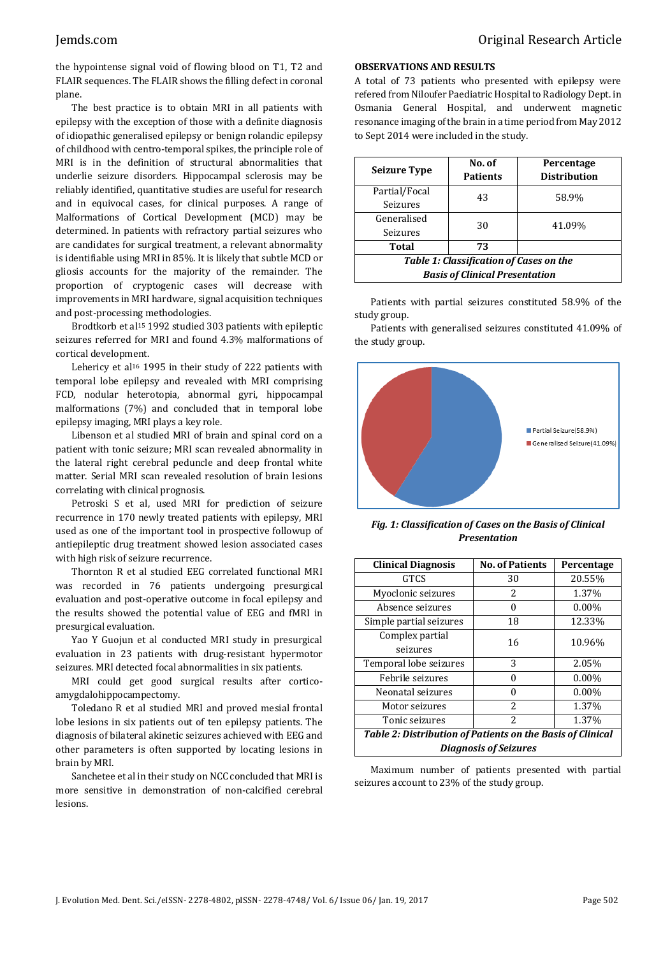the hypointense signal void of flowing blood on T1, T2 and FLAIR sequences. The FLAIR shows the filling defect in coronal plane.

The best practice is to obtain MRI in all patients with epilepsy with the exception of those with a definite diagnosis of idiopathic generalised epilepsy or benign rolandic epilepsy of childhood with centro-temporal spikes, the principle role of MRI is in the definition of structural abnormalities that underlie seizure disorders. Hippocampal sclerosis may be reliably identified, quantitative studies are useful for research and in equivocal cases, for clinical purposes. A range of Malformations of Cortical Development (MCD) may be determined. In patients with refractory partial seizures who are candidates for surgical treatment, a relevant abnormality is identifiable using MRI in 85%. It is likely that subtle MCD or gliosis accounts for the majority of the remainder. The proportion of cryptogenic cases will decrease with improvements in MRI hardware, signal acquisition techniques and post-processing methodologies.

Brodtkorb et al<sup>15</sup> 1992 studied 303 patients with epileptic seizures referred for MRI and found 4.3% malformations of cortical development.

Lehericy et al<sup>16</sup> 1995 in their study of 222 patients with temporal lobe epilepsy and revealed with MRI comprising FCD, nodular heterotopia, abnormal gyri, hippocampal malformations (7%) and concluded that in temporal lobe epilepsy imaging, MRI plays a key role.

Libenson et al studied MRI of brain and spinal cord on a patient with tonic seizure; MRI scan revealed abnormality in the lateral right cerebral peduncle and deep frontal white matter. Serial MRI scan revealed resolution of brain lesions correlating with clinical prognosis.

Petroski S et al, used MRI for prediction of seizure recurrence in 170 newly treated patients with epilepsy, MRI used as one of the important tool in prospective followup of antiepileptic drug treatment showed lesion associated cases with high risk of seizure recurrence.

Thornton R et al studied EEG correlated functional MRI was recorded in 76 patients undergoing presurgical evaluation and post-operative outcome in focal epilepsy and the results showed the potential value of EEG and fMRI in presurgical evaluation.

Yao Y Guojun et al conducted MRI study in presurgical evaluation in 23 patients with drug-resistant hypermotor seizures. MRI detected focal abnormalities in six patients.

MRI could get good surgical results after corticoamygdalohippocampectomy.

Toledano R et al studied MRI and proved mesial frontal lobe lesions in six patients out of ten epilepsy patients. The diagnosis of bilateral akinetic seizures achieved with EEG and other parameters is often supported by locating lesions in brain by MRI.

Sanchetee et al in their study on NCC concluded that MRI is more sensitive in demonstration of non-calcified cerebral lesions.

#### **OBSERVATIONS AND RESULTS**

A total of 73 patients who presented with epilepsy were refered from Niloufer Paediatric Hospital to Radiology Dept. in Osmania General Hospital, and underwent magnetic resonance imaging of the brain in a time period from May 2012 to Sept 2014 were included in the study.

| <b>Seizure Type</b>                                                              | No. of<br><b>Patients</b> | Percentage<br><b>Distribution</b> |
|----------------------------------------------------------------------------------|---------------------------|-----------------------------------|
| Partial/Focal<br><b>Seizures</b>                                                 | 43                        | 58.9%                             |
| Generalised<br>Seizures                                                          | 30                        | 41.09%                            |
| Total<br>73                                                                      |                           |                                   |
| Table 1: Classification of Cases on the<br><b>Basis of Clinical Presentation</b> |                           |                                   |

Patients with partial seizures constituted 58.9% of the study group.

Patients with generalised seizures constituted 41.09% of the study group.



*Fig. 1: Classification of Cases on the Basis of Clinical Presentation*

| <b>Clinical Diagnosis</b>                                         | <b>No. of Patients</b> | Percentage |  |  |
|-------------------------------------------------------------------|------------------------|------------|--|--|
| <b>GTCS</b>                                                       | 30                     | 20.55%     |  |  |
| Myoclonic seizures                                                | $\mathcal{L}$          | 1.37%      |  |  |
| Absence seizures                                                  | 0                      | $0.00\%$   |  |  |
| Simple partial seizures                                           | 18                     | 12.33%     |  |  |
| Complex partial                                                   | 16                     | 10.96%     |  |  |
| seizures                                                          |                        |            |  |  |
| Temporal lobe seizures                                            | 3                      | 2.05%      |  |  |
| Febrile seizures                                                  | O                      | $0.00\%$   |  |  |
| Neonatal seizures                                                 | 0                      | $0.00\%$   |  |  |
| Motor seizures                                                    | $\mathcal{L}$          | 1.37%      |  |  |
| $\overline{c}$<br>1.37%<br>Tonic seizures                         |                        |            |  |  |
| <b>Table 2: Distribution of Patients on the Basis of Clinical</b> |                        |            |  |  |
| <b>Diagnosis of Seizures</b>                                      |                        |            |  |  |

Maximum number of patients presented with partial seizures account to 23% of the study group.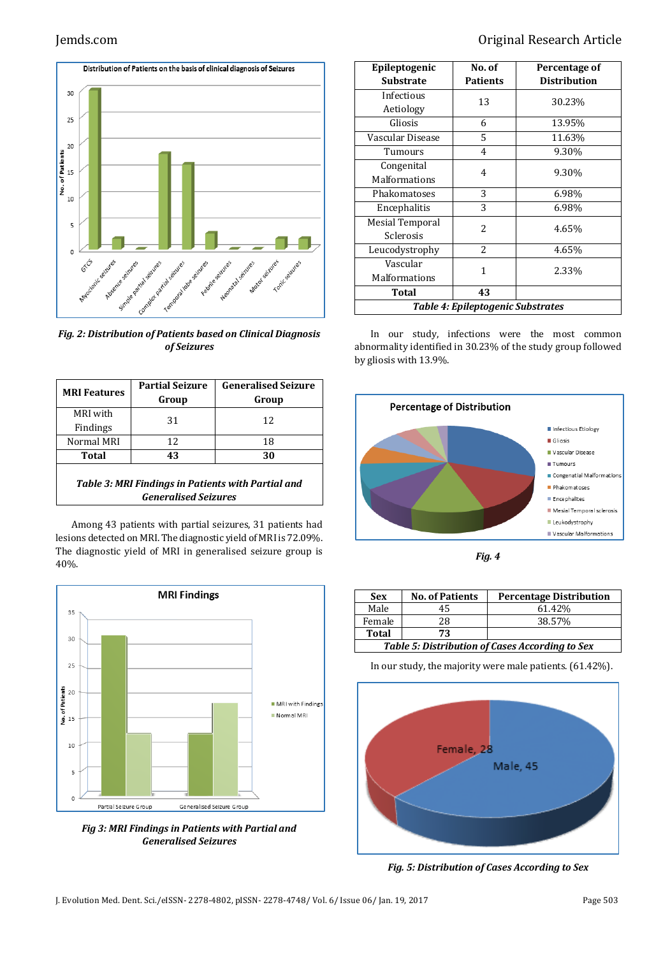

*Fig. 2: Distribution of Patients based on Clinical Diagnosis of Seizures*

| <b>MRI Features</b>                                                               | <b>Partial Seizure</b><br>Group | <b>Generalised Seizure</b><br>Group |  |
|-----------------------------------------------------------------------------------|---------------------------------|-------------------------------------|--|
| MRI with                                                                          | 31                              | 12                                  |  |
| Findings                                                                          |                                 |                                     |  |
| Normal MRI                                                                        | 12                              | 18                                  |  |
| Total                                                                             | 43                              | 30                                  |  |
| Table 3: MRI Findings in Patients with Partial and<br><b>Generalised Seizures</b> |                                 |                                     |  |

Among 43 patients with partial seizures, 31 patients had lesions detected on MRI. The diagnostic yield of MRI is 72.09%. The diagnostic yield of MRI in generalised seizure group is 40%.



*Fig 3: MRI Findings in Patients with Partial and Generalised Seizures*

# Jemds.com Original Research Article

| Epileptogenic<br><b>Substrate</b>        | No. of<br><b>Patients</b> | Percentage of<br><b>Distribution</b> |
|------------------------------------------|---------------------------|--------------------------------------|
| Infectious                               | 13                        | 30.23%                               |
| Aetiology                                |                           |                                      |
| Gliosis                                  | 6                         | 13.95%                               |
| Vascular Disease                         | 5                         | 11.63%                               |
| Tumours                                  | 4                         | 9.30%                                |
| Congenital                               | 4                         | 9.30%                                |
| <b>Malformations</b>                     |                           |                                      |
| Phakomatoses                             | 3                         | 6.98%                                |
| Encephalitis                             | 3                         | 6.98%                                |
| Mesial Temporal                          | 2                         | 4.65%                                |
| Sclerosis                                |                           |                                      |
| Leucodystrophy                           | 2                         | 4.65%                                |
| Vascular                                 | 1                         | 2.33%                                |
| Malformations                            |                           |                                      |
| <b>Total</b>                             | 43                        |                                      |
| <b>Table 4: Epileptogenic Substrates</b> |                           |                                      |

In our study, infections were the most common abnormality identified in 30.23% of the study group followed by gliosis with 13.9%.





| <b>Sex</b>                                             | <b>No. of Patients</b> | <b>Percentage Distribution</b> |  |  |
|--------------------------------------------------------|------------------------|--------------------------------|--|--|
| Male                                                   | 45                     | 61.42%                         |  |  |
| Female                                                 | 28                     | 38.57%                         |  |  |
| <b>Total</b><br>73                                     |                        |                                |  |  |
| <b>Table 5: Distribution of Cases According to Sex</b> |                        |                                |  |  |

*Table 5: Distribution of Cases According to Sex*

In our study, the majority were male patients. (61.42%).



*Fig. 5: Distribution of Cases According to Sex*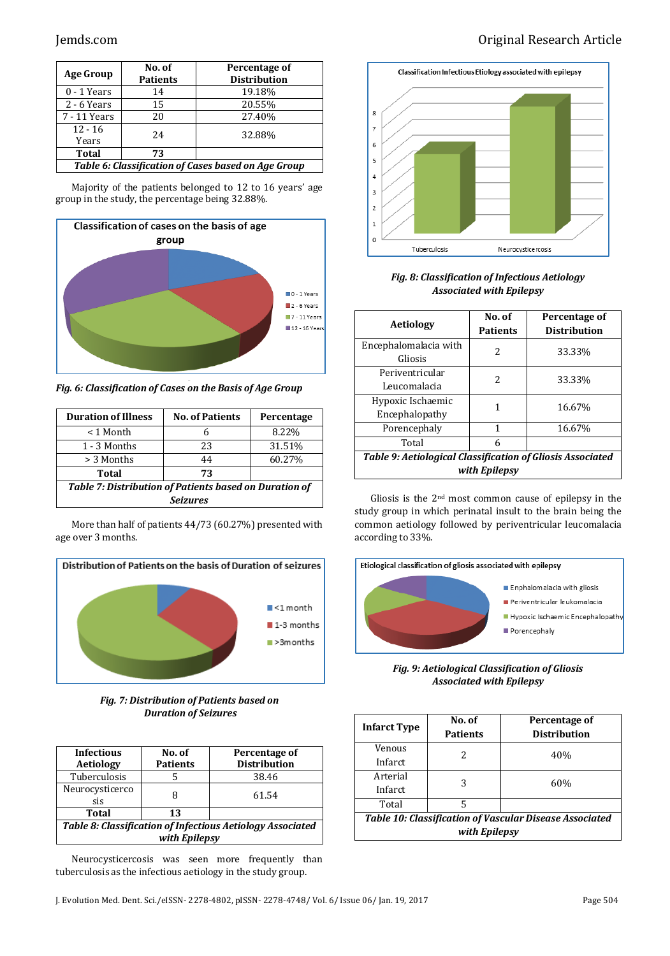| <b>Age Group</b>                                    | No. of<br><b>Patients</b> | Percentage of<br><b>Distribution</b> |  |
|-----------------------------------------------------|---------------------------|--------------------------------------|--|
| $0 - 1$ Years                                       | 14                        | 19.18%                               |  |
| $2 - 6$ Years                                       | 15                        | 20.55%                               |  |
| 7 - 11 Years                                        | 20                        | 27.40%                               |  |
| $12 - 16$<br>Years                                  | 24                        | 32.88%                               |  |
| <b>Total</b>                                        | 73                        |                                      |  |
| Table 6: Classification of Cases based on Age Group |                           |                                      |  |

Majority of the patients belonged to 12 to 16 years' age group in the study, the percentage being 32.88%.



*Fig. 6: Classification of Cases on the Basis of Age Group*

| <b>Duration of Illness</b>                                    | <b>No. of Patients</b> | Percentage |  |
|---------------------------------------------------------------|------------------------|------------|--|
| < 1 Month                                                     | 6                      | 8.22%      |  |
| 1 - 3 Months                                                  | 23                     | 31.51%     |  |
| > 3 Months                                                    | 44                     | 60.27%     |  |
| Total                                                         | 73                     |            |  |
| <b>Table 7: Distribution of Patients based on Duration of</b> |                        |            |  |
| <b>Seizures</b>                                               |                        |            |  |

More than half of patients 44/73 (60.27%) presented with age over 3 months.



*Fig. 7: Distribution of Patients based on Duration of Seizures*

| <b>Infectious</b><br><b>Aetiology</b>                                       | No. of<br><b>Patients</b> | Percentage of<br><b>Distribution</b> |  |
|-----------------------------------------------------------------------------|---------------------------|--------------------------------------|--|
| Tuberculosis                                                                |                           | 38.46                                |  |
| Neurocysticerco<br>sis                                                      |                           | 61.54                                |  |
| Total                                                                       | 13                        |                                      |  |
| Table 8: Classification of Infectious Aetiology Associated<br>with Epilepsy |                           |                                      |  |

Neurocysticercosis was seen more frequently than tuberculosis as the infectious aetiology in the study group.



*Fig. 8: Classification of Infectious Aetiology Associated with Epilepsy*

| <b>Aetiology</b>                                                            | No. of<br><b>Patients</b> | Percentage of<br><b>Distribution</b> |  |
|-----------------------------------------------------------------------------|---------------------------|--------------------------------------|--|
| Encephalomalacia with<br>Gliosis                                            | 2                         | 33.33%                               |  |
| Periventricular<br>Leucomalacia                                             | 2                         | 33.33%                               |  |
| Hypoxic Ischaemic<br>Encephalopathy                                         | 1                         | 16.67%                               |  |
| Porencephaly                                                                | 1                         | 16.67%                               |  |
| Total<br>6                                                                  |                           |                                      |  |
| Table 9: Aetiological Classification of Gliosis Associated<br>with Epilepsy |                           |                                      |  |

Gliosis is the 2nd most common cause of epilepsy in the study group in which perinatal insult to the brain being the common aetiology followed by periventricular leucomalacia according to 33%.



*Fig. 9: Aetiological Classification of Gliosis Associated with Epilepsy*

| <b>Infarct Type</b>                                                             | No. of<br><b>Patients</b> | Percentage of<br><b>Distribution</b> |  |
|---------------------------------------------------------------------------------|---------------------------|--------------------------------------|--|
| Venous<br>Infarct                                                               | 2                         | 40%                                  |  |
| Arterial<br>Infarct                                                             | 3                         | 60%                                  |  |
| Total                                                                           | 5                         |                                      |  |
| <b>Table 10: Classification of Vascular Disease Associated</b><br>with Epilepsy |                           |                                      |  |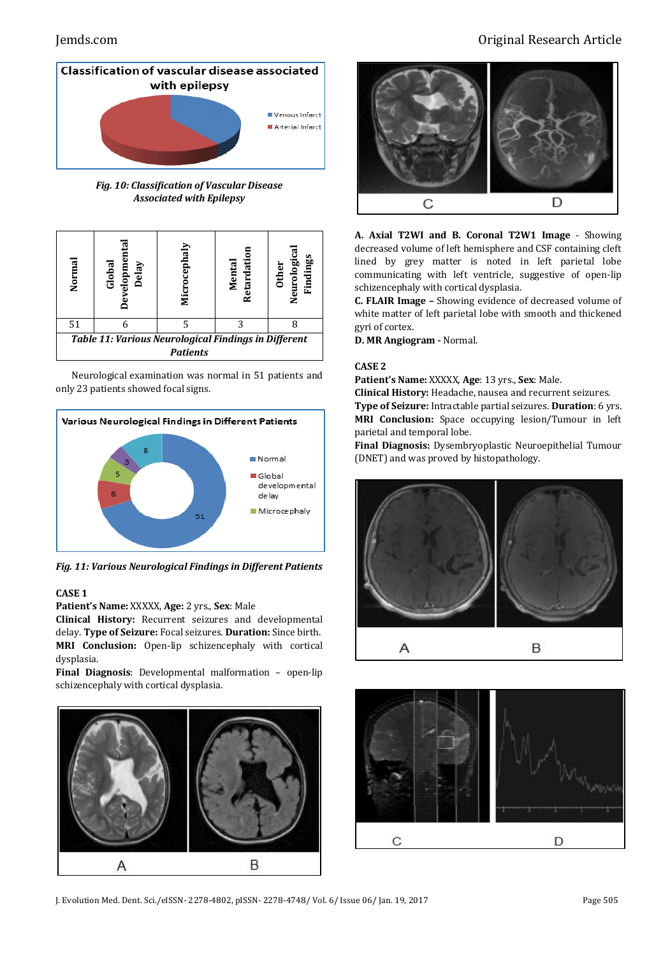

*Fig. 10: Classification of Vascular Disease Associated with Epilepsy*



Neurological examination was normal in 51 patients and only 23 patients showed focal signs.



*Fig. 11: Various Neurological Findings in Different Patients*

### **CASE 1**

**Patient's Name:** XXXXX, **Age:** 2 yrs., **Sex**: Male

**Clinical History:** Recurrent seizures and developmental delay. **Type of Seizure:** Focal seizures. **Duration:** Since birth. **MRI Conclusion:** Open-lip schizencephaly with cortical dysplasia.

**Final Diagnosis**: Developmental malformation – open-lip schizencephaly with cortical dysplasia.



# Jemds.com Original Research Article



**A. Axial T2WI and B. Coronal T2W1 Image** - Showing decreased volume of left hemisphere and CSF containing cleft lined by grey matter is noted in left parietal lobe communicating with left ventricle, suggestive of open-lip schizencephaly with cortical dysplasia.

**C. FLAIR Image –** Showing evidence of decreased volume of white matter of left parietal lobe with smooth and thickened gyri of cortex.

**D. MR Angiogram -** Normal.

#### **CASE 2**

**Patient's Name:** XXXXX, **Age**: 13 yrs., **Sex**: Male.

**Clinical History:** Headache, nausea and recurrent seizures. **Type of Seizure:** Intractable partial seizures. **Duration**: 6 yrs. **MRI Conclusion:** Space occupying lesion/Tumour in left parietal and temporal lobe.

**Final Diagnosis:** Dysembryoplastic Neuroepithelial Tumour (DNET) and was proved by histopathology.





J. Evolution Med. Dent. Sci./eISSN- 2278-4802, pISSN- 2278-4748/ Vol. 6/ Issue 06/ Jan. 19, 2017 Page 505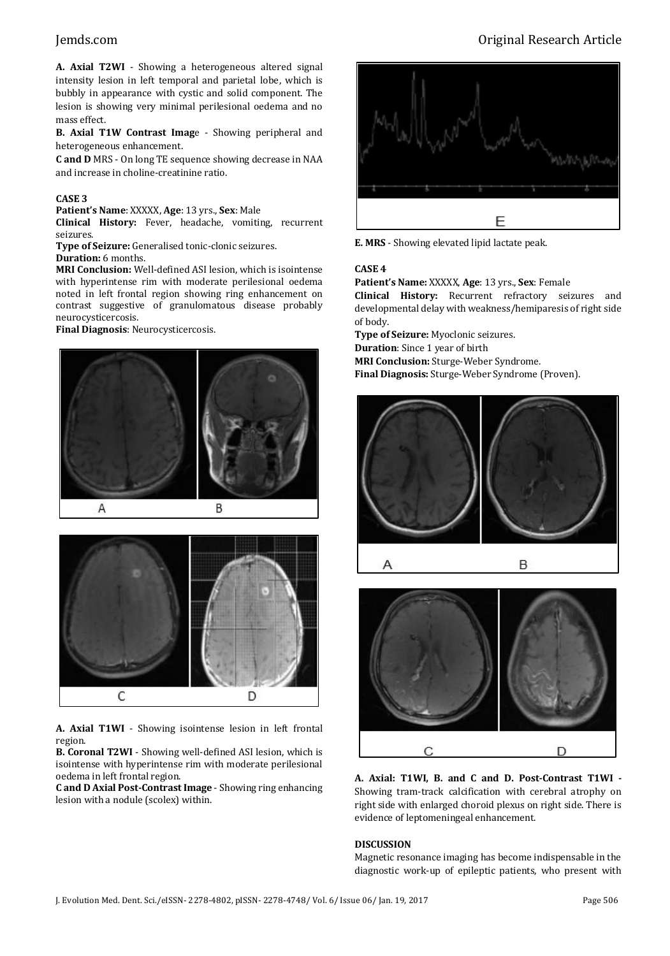**A. Axial T2WI** - Showing a heterogeneous altered signal intensity lesion in left temporal and parietal lobe, which is bubbly in appearance with cystic and solid component. The lesion is showing very minimal perilesional oedema and no mass effect.

**B. Axial T1W Contrast Imag**e - Showing peripheral and heterogeneous enhancement.

**C and D** MRS - On long TE sequence showing decrease in NAA and increase in choline-creatinine ratio.

#### **CASE 3**

**Patient's Name**: XXXXX, **Age**: 13 yrs., **Sex**: Male

**Clinical History:** Fever, headache, vomiting, recurrent seizures.

**Type of Seizure:** Generalised tonic-clonic seizures.

### **Duration:** 6 months.

**MRI Conclusion:** Well-defined ASI lesion, which is isointense with hyperintense rim with moderate perilesional oedema noted in left frontal region showing ring enhancement on contrast suggestive of granulomatous disease probably neurocysticercosis.

**Final Diagnosis**: Neurocysticercosis.





**A. Axial T1WI** - Showing isointense lesion in left frontal region.

**B. Coronal T2WI** - Showing well-defined ASI lesion, which is isointense with hyperintense rim with moderate perilesional oedema in left frontal region.

**C and D Axial Post-Contrast Image** - Showing ring enhancing lesion with a nodule (scolex) within.

# Jemds.com Original Research Article



**E. MRS** - Showing elevated lipid lactate peak.

#### **CASE 4**

**Patient's Name:** XXXXX, **Age**: 13 yrs., **Sex**: Female **Clinical History:** Recurrent refractory seizures and developmental delay with weakness/hemiparesis of right side of body.

**Type of Seizure:** Myoclonic seizures. **Duration**: Since 1 year of birth **MRI Conclusion:** Sturge-Weber Syndrome. **Final Diagnosis:** Sturge-Weber Syndrome (Proven).





**A. Axial: T1WI, B. and C and D. Post-Contrast T1WI -** Showing tram-track calcification with cerebral atrophy on right side with enlarged choroid plexus on right side. There is evidence of leptomeningeal enhancement.

#### **DISCUSSION**

Magnetic resonance imaging has become indispensable in the diagnostic work-up of epileptic patients, who present with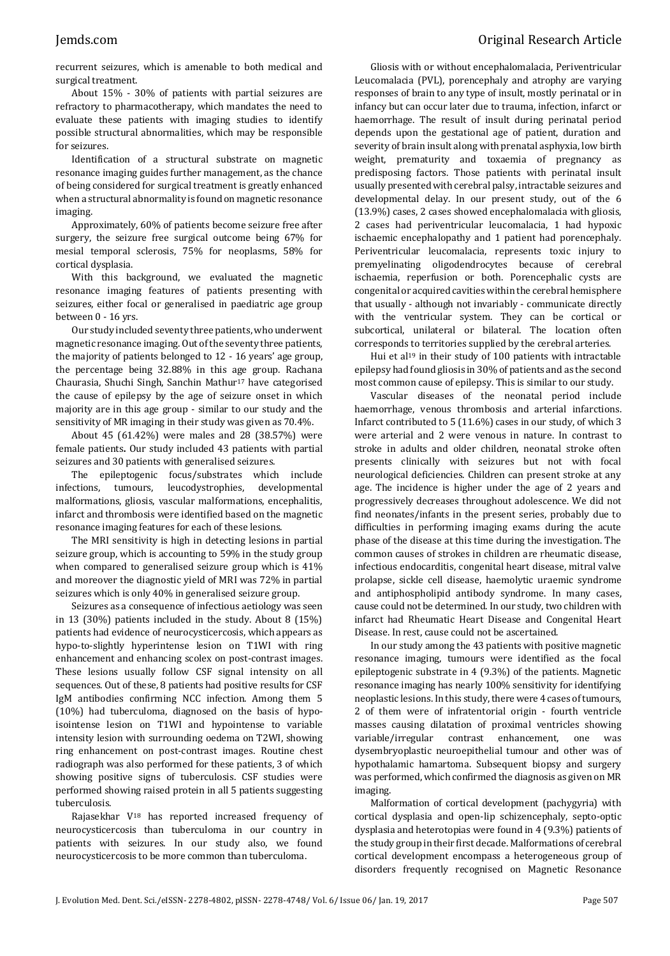recurrent seizures, which is amenable to both medical and surgical treatment.

About 15% - 30% of patients with partial seizures are refractory to pharmacotherapy, which mandates the need to evaluate these patients with imaging studies to identify possible structural abnormalities, which may be responsible for seizures.

Identification of a structural substrate on magnetic resonance imaging guides further management, as the chance of being considered for surgical treatment is greatly enhanced when a structural abnormality is found on magnetic resonance imaging.

Approximately, 60% of patients become seizure free after surgery, the seizure free surgical outcome being 67% for mesial temporal sclerosis, 75% for neoplasms, 58% for cortical dysplasia.

With this background, we evaluated the magnetic resonance imaging features of patients presenting with seizures, either focal or generalised in paediatric age group between 0 - 16 yrs.

Our study included seventy three patients, who underwent magnetic resonance imaging. Out of the seventy three patients, the majority of patients belonged to 12 - 16 years' age group, the percentage being 32.88% in this age group. Rachana Chaurasia, Shuchi Singh, Sanchin Mathur<sup>17</sup> have categorised the cause of epilepsy by the age of seizure onset in which majority are in this age group - similar to our study and the sensitivity of MR imaging in their study was given as 70.4%.

About 45 (61.42%) were males and 28 (38.57%) were female patients**.** Our study included 43 patients with partial seizures and 30 patients with generalised seizures.

The epileptogenic focus/substrates which include infections, tumours, leucodystrophies, developmental malformations, gliosis, vascular malformations, encephalitis, infarct and thrombosis were identified based on the magnetic resonance imaging features for each of these lesions.

The MRI sensitivity is high in detecting lesions in partial seizure group, which is accounting to 59% in the study group when compared to generalised seizure group which is 41% and moreover the diagnostic yield of MRI was 72% in partial seizures which is only 40% in generalised seizure group.

Seizures as a consequence of infectious aetiology was seen in 13 (30%) patients included in the study. About 8 (15%) patients had evidence of neurocysticercosis, which appears as hypo-to-slightly hyperintense lesion on T1WI with ring enhancement and enhancing scolex on post-contrast images. These lesions usually follow CSF signal intensity on all sequences. Out of these, 8 patients had positive results for CSF IgM antibodies confirming NCC infection. Among them 5 (10%) had tuberculoma, diagnosed on the basis of hypoisointense lesion on T1WI and hypointense to variable intensity lesion with surrounding oedema on T2WI, showing ring enhancement on post-contrast images. Routine chest radiograph was also performed for these patients, 3 of which showing positive signs of tuberculosis. CSF studies were performed showing raised protein in all 5 patients suggesting tuberculosis.

Rajasekhar V<sup>18</sup> has reported increased frequency of neurocysticercosis than tuberculoma in our country in patients with seizures. In our study also, we found neurocysticercosis to be more common than tuberculoma.

Gliosis with or without encephalomalacia, Periventricular Leucomalacia (PVL), porencephaly and atrophy are varying responses of brain to any type of insult, mostly perinatal or in infancy but can occur later due to trauma, infection, infarct or haemorrhage. The result of insult during perinatal period depends upon the gestational age of patient, duration and severity of brain insult along with prenatal asphyxia, low birth weight, prematurity and toxaemia of pregnancy as predisposing factors. Those patients with perinatal insult usually presented with cerebral palsy, intractable seizures and developmental delay. In our present study, out of the 6 (13.9%) cases, 2 cases showed encephalomalacia with gliosis, 2 cases had periventricular leucomalacia, 1 had hypoxic ischaemic encephalopathy and 1 patient had porencephaly. Periventricular leucomalacia, represents toxic injury to premyelinating oligodendrocytes because of cerebral ischaemia, reperfusion or both. Porencephalic cysts are congenital or acquired cavities within the cerebral hemisphere that usually - although not invariably - communicate directly with the ventricular system. They can be cortical or subcortical, unilateral or bilateral. The location often corresponds to territories supplied by the cerebral arteries.

Hui et al<sup>19</sup> in their study of 100 patients with intractable epilepsy had found gliosis in 30% of patients and as the second most common cause of epilepsy. This is similar to our study.

Vascular diseases of the neonatal period include haemorrhage, venous thrombosis and arterial infarctions. Infarct contributed to 5 (11.6%) cases in our study, of which 3 were arterial and 2 were venous in nature. In contrast to stroke in adults and older children, neonatal stroke often presents clinically with seizures but not with focal neurological deficiencies. Children can present stroke at any age. The incidence is higher under the age of 2 years and progressively decreases throughout adolescence. We did not find neonates/infants in the present series, probably due to difficulties in performing imaging exams during the acute phase of the disease at this time during the investigation. The common causes of strokes in children are rheumatic disease, infectious endocarditis, congenital heart disease, mitral valve prolapse, sickle cell disease, haemolytic uraemic syndrome and antiphospholipid antibody syndrome. In many cases, cause could not be determined. In our study, two children with infarct had Rheumatic Heart Disease and Congenital Heart Disease. In rest, cause could not be ascertained.

In our study among the 43 patients with positive magnetic resonance imaging, tumours were identified as the focal epileptogenic substrate in 4 (9.3%) of the patients. Magnetic resonance imaging has nearly 100% sensitivity for identifying neoplastic lesions. In this study, there were 4 cases of tumours, 2 of them were of infratentorial origin - fourth ventricle masses causing dilatation of proximal ventricles showing variable/irregular contrast enhancement, one was dysembryoplastic neuroepithelial tumour and other was of hypothalamic hamartoma. Subsequent biopsy and surgery was performed, which confirmed the diagnosis as given on MR imaging.

Malformation of cortical development (pachygyria) with cortical dysplasia and open-lip schizencephaly, septo-optic dysplasia and heterotopias were found in 4 (9.3%) patients of the study group in their first decade. Malformations of cerebral cortical development encompass a heterogeneous group of disorders frequently recognised on Magnetic Resonance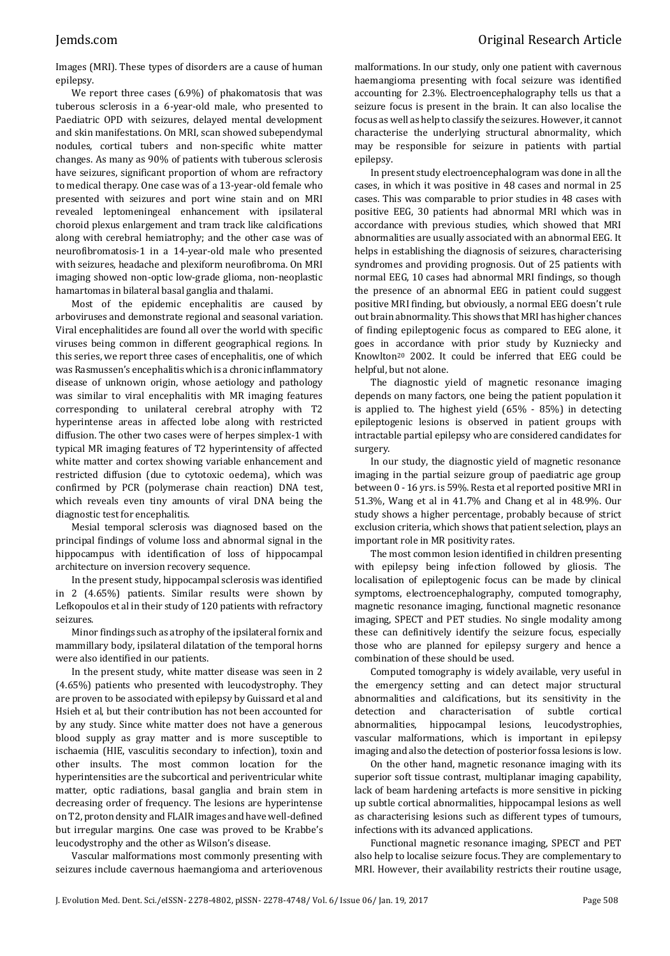Images (MRI). These types of disorders are a cause of human epilepsy.

We report three cases (6.9%) of phakomatosis that was tuberous sclerosis in a 6-year-old male, who presented to Paediatric OPD with seizures, delayed mental development and skin manifestations. On MRI, scan showed subependymal nodules, cortical tubers and non-specific white matter changes. As many as 90% of patients with tuberous sclerosis have seizures, significant proportion of whom are refractory to medical therapy. One case was of a 13-year-old female who presented with seizures and port wine stain and on MRI revealed leptomeningeal enhancement with ipsilateral choroid plexus enlargement and tram track like calcifications along with cerebral hemiatrophy; and the other case was of neurofibromatosis-1 in a 14-year-old male who presented with seizures, headache and plexiform neurofibroma. On MRI imaging showed non-optic low-grade glioma, non-neoplastic hamartomas in bilateral basal ganglia and thalami.

Most of the epidemic encephalitis are caused by arboviruses and demonstrate regional and seasonal variation. Viral encephalitides are found all over the world with specific viruses being common in different geographical regions. In this series, we report three cases of encephalitis, one of which was Rasmussen's encephalitis which is a chronic inflammatory disease of unknown origin, whose aetiology and pathology was similar to viral encephalitis with MR imaging features corresponding to unilateral cerebral atrophy with T2 hyperintense areas in affected lobe along with restricted diffusion. The other two cases were of herpes simplex-1 with typical MR imaging features of T2 hyperintensity of affected white matter and cortex showing variable enhancement and restricted diffusion (due to cytotoxic oedema), which was confirmed by PCR (polymerase chain reaction) DNA test, which reveals even tiny amounts of viral DNA being the diagnostic test for encephalitis.

Mesial temporal sclerosis was diagnosed based on the principal findings of volume loss and abnormal signal in the hippocampus with identification of loss of hippocampal architecture on inversion recovery sequence.

In the present study, hippocampal sclerosis was identified in 2 (4.65%) patients. Similar results were shown by Lefkopoulos et al in their study of 120 patients with refractory seizures.

Minor findings such as atrophy of the ipsilateral fornix and mammillary body, ipsilateral dilatation of the temporal horns were also identified in our patients.

In the present study, white matter disease was seen in 2 (4.65%) patients who presented with leucodystrophy. They are proven to be associated with epilepsy by Guissard et al and Hsieh et al, but their contribution has not been accounted for by any study. Since white matter does not have a generous blood supply as gray matter and is more susceptible to ischaemia (HIE, vasculitis secondary to infection), toxin and other insults. The most common location for the hyperintensities are the subcortical and periventricular white matter, optic radiations, basal ganglia and brain stem in decreasing order of frequency. The lesions are hyperintense on T2, proton density and FLAIR images and have well-defined but irregular margins. One case was proved to be Krabbe's leucodystrophy and the other as Wilson's disease.

Vascular malformations most commonly presenting with seizures include cavernous haemangioma and arteriovenous malformations. In our study, only one patient with cavernous haemangioma presenting with focal seizure was identified accounting for 2.3%. Electroencephalography tells us that a seizure focus is present in the brain. It can also localise the focus as well as help to classify the seizures. However, it cannot characterise the underlying structural abnormality, which may be responsible for seizure in patients with partial epilepsy.

In present study electroencephalogram was done in all the cases, in which it was positive in 48 cases and normal in 25 cases. This was comparable to prior studies in 48 cases with positive EEG, 30 patients had abnormal MRI which was in accordance with previous studies, which showed that MRI abnormalities are usually associated with an abnormal EEG. It helps in establishing the diagnosis of seizures, characterising syndromes and providing prognosis. Out of 25 patients with normal EEG, 10 cases had abnormal MRI findings, so though the presence of an abnormal EEG in patient could suggest positive MRI finding, but obviously, a normal EEG doesn't rule out brain abnormality. This shows that MRI has higher chances of finding epileptogenic focus as compared to EEG alone, it goes in accordance with prior study by Kuzniecky and Knowlton<sup>20</sup> 2002. It could be inferred that EEG could be helpful, but not alone.

The diagnostic yield of magnetic resonance imaging depends on many factors, one being the patient population it is applied to. The highest yield (65% - 85%) in detecting epileptogenic lesions is observed in patient groups with intractable partial epilepsy who are considered candidates for surgery.

In our study, the diagnostic yield of magnetic resonance imaging in the partial seizure group of paediatric age group between 0 - 16 yrs. is 59%. Resta et al reported positive MRI in 51.3%, Wang et al in 41.7% and Chang et al in 48.9%. Our study shows a higher percentage, probably because of strict exclusion criteria, which shows that patient selection, plays an important role in MR positivity rates.

The most common lesion identified in children presenting with epilepsy being infection followed by gliosis. The localisation of epileptogenic focus can be made by clinical symptoms, electroencephalography, computed tomography, magnetic resonance imaging, functional magnetic resonance imaging, SPECT and PET studies. No single modality among these can definitively identify the seizure focus, especially those who are planned for epilepsy surgery and hence a combination of these should be used.

Computed tomography is widely available, very useful in the emergency setting and can detect major structural abnormalities and calcifications, but its sensitivity in the detection and characterisation of subtle cortical abnormalities, hippocampal lesions, leucodystrophies, vascular malformations, which is important in epilepsy imaging and also the detection of posterior fossa lesions is low.

On the other hand, magnetic resonance imaging with its superior soft tissue contrast, multiplanar imaging capability, lack of beam hardening artefacts is more sensitive in picking up subtle cortical abnormalities, hippocampal lesions as well as characterising lesions such as different types of tumours, infections with its advanced applications.

Functional magnetic resonance imaging, SPECT and PET also help to localise seizure focus. They are complementary to MRI. However, their availability restricts their routine usage,